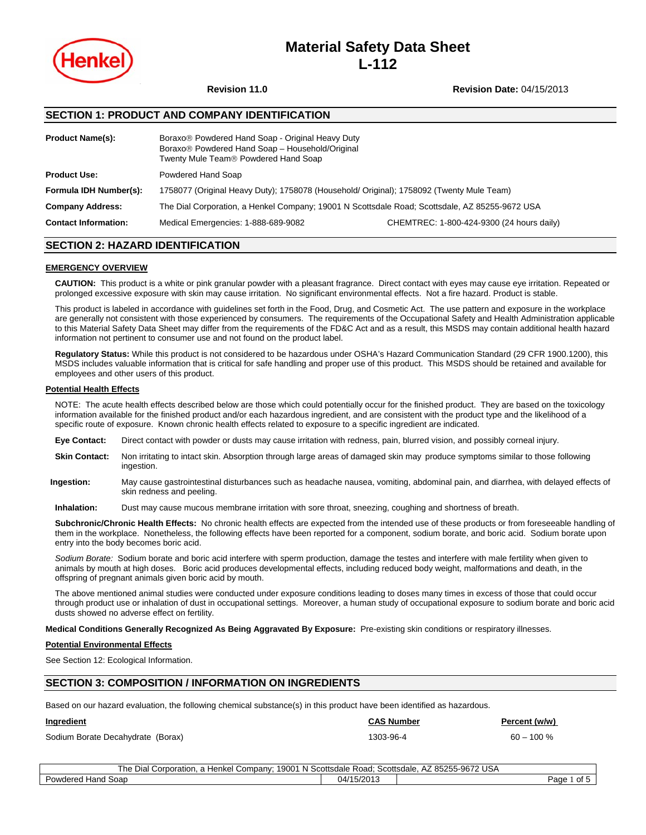

# **Material Safety Data Sheet L-112**

**Revision 11.0 Revision Date:** 04/15/2013

# **SECTION 1: PRODUCT AND COMPANY IDENTIFICATION**

| <b>Product Name(s):</b>     | Boraxo <sup>®</sup> Powdered Hand Soap - Original Heavy Duty<br>Boraxo <sup>®</sup> Powdered Hand Soap - Household/Original<br>Twenty Mule Team® Powdered Hand Soap |                                           |  |
|-----------------------------|---------------------------------------------------------------------------------------------------------------------------------------------------------------------|-------------------------------------------|--|
| <b>Product Use:</b>         | Powdered Hand Soap                                                                                                                                                  |                                           |  |
| Formula IDH Number(s):      | 1758077 (Original Heavy Duty); 1758078 (Household/ Original); 1758092 (Twenty Mule Team)                                                                            |                                           |  |
| <b>Company Address:</b>     | The Dial Corporation, a Henkel Company; 19001 N Scottsdale Road; Scottsdale, AZ 85255-9672 USA                                                                      |                                           |  |
| <b>Contact Information:</b> | Medical Emergencies: 1-888-689-9082                                                                                                                                 | CHEMTREC: 1-800-424-9300 (24 hours daily) |  |

# **SECTION 2: HAZARD IDENTIFICATION**

#### **EMERGENCY OVERVIEW**

**CAUTION:** This product is a white or pink granular powder with a pleasant fragrance. Direct contact with eyes may cause eye irritation. Repeated or prolonged excessive exposure with skin may cause irritation. No significant environmental effects. Not a fire hazard. Product is stable.

This product is labeled in accordance with guidelines set forth in the Food, Drug, and Cosmetic Act. The use pattern and exposure in the workplace are generally not consistent with those experienced by consumers. The requirements of the Occupational Safety and Health Administration applicable to this Material Safety Data Sheet may differ from the requirements of the FD&C Act and as a result, this MSDS may contain additional health hazard information not pertinent to consumer use and not found on the product label.

**Regulatory Status:** While this product is not considered to be hazardous under OSHA's Hazard Communication Standard (29 CFR 1900.1200), this MSDS includes valuable information that is critical for safe handling and proper use of this product. This MSDS should be retained and available for employees and other users of this product.

#### **Potential Health Effects**

NOTE: The acute health effects described below are those which could potentially occur for the finished product. They are based on the toxicology information available for the finished product and/or each hazardous ingredient, and are consistent with the product type and the likelihood of a specific route of exposure. Known chronic health effects related to exposure to a specific ingredient are indicated.

- **Eye Contact:** Direct contact with powder or dusts may cause irritation with redness, pain, blurred vision, and possibly corneal injury.
- **Skin Contact:** Non irritating to intact skin. Absorption through large areas of damaged skin may produce symptoms similar to those following ingestion.
- **Ingestion:** May cause gastrointestinal disturbances such as headache nausea, vomiting, abdominal pain, and diarrhea, with delayed effects of skin redness and peeling.

**Inhalation:** Dust may cause mucous membrane irritation with sore throat, sneezing, coughing and shortness of breath.

**Subchronic/Chronic Health Effects:** No chronic health effects are expected from the intended use of these products or from foreseeable handling of them in the workplace. Nonetheless, the following effects have been reported for a component, sodium borate, and boric acid. Sodium borate upon entry into the body becomes boric acid.

*Sodium Borate:* Sodium borate and boric acid interfere with sperm production, damage the testes and interfere with male fertility when given to animals by mouth at high doses. Boric acid produces developmental effects, including reduced body weight, malformations and death, in the offspring of pregnant animals given boric acid by mouth.

The above mentioned animal studies were conducted under exposure conditions leading to doses many times in excess of those that could occur through product use or inhalation of dust in occupational settings. Moreover, a human study of occupational exposure to sodium borate and boric acid dusts showed no adverse effect on fertility.

**Medical Conditions Generally Recognized As Being Aggravated By Exposure:** Pre-existing skin conditions or respiratory illnesses.

#### **Potential Environmental Effects**

See Section 12: Ecological Information.

# **SECTION 3: COMPOSITION / INFORMATION ON INGREDIENTS**

Based on our hazard evaluation, the following chemical substance(s) in this product have been identified as hazardous.

| Ingredient                        | <b>CAS Number</b> | Percent (w/w) |
|-----------------------------------|-------------------|---------------|
| Sodium Borate Decahydrate (Borax) | 1303-96-4         | $60 - 100 %$  |

The Dial Corporation, a Henkel Company; 19001 N Scottsdale Road; Scottsdale, AZ 85255-9672 USA Powdered Hand Soap 04/15/2013 Page 1 of 5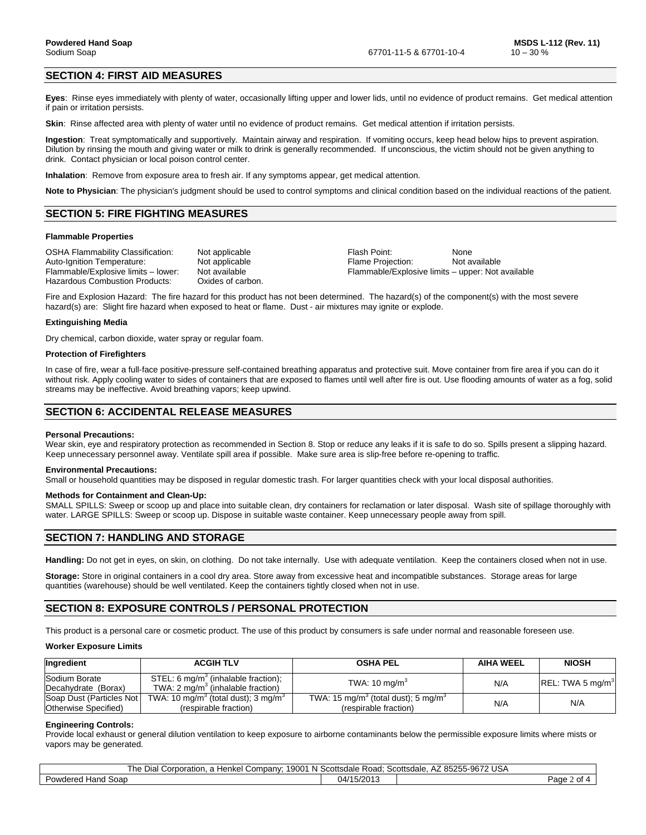# **SECTION 4: FIRST AID MEASURES**

**Eyes**:Rinse eyes immediately with plenty of water, occasionally lifting upper and lower lids, until no evidence of product remains. Get medical attention if pain or irritation persists.

**Skin**:Rinse affected area with plenty of water until no evidence of product remains. Get medical attention if irritation persists.

**Ingestion**:Treat symptomatically and supportively. Maintain airway and respiration. If vomiting occurs, keep head below hips to prevent aspiration. Dilution by rinsing the mouth and giving water or milk to drink is generally recommended. If unconscious, the victim should not be given anything to drink. Contact physician or local poison control center.

**Inhalation**: Remove from exposure area to fresh air. If any symptoms appear, get medical attention.

**Note to Physician**: The physician's judgment should be used to control symptoms and clinical condition based on the individual reactions of the patient.

#### **SECTION 5: FIRE FIGHTING MEASURES**

#### **Flammable Properties**

OSHA Flammability Classification: Not applicable Flash Point: None Auto-Ignition Temperature: <br>Flammable/Explosive limits – lower: Not available Flammable/Explosive limits – upper: Not available Hazardous Combustion Products: Oxides of carbon.

Flammable/Explosive limits – upper: Not available

Fire and Explosion Hazard: The fire hazard for this product has not been determined. The hazard(s) of the component(s) with the most severe hazard(s) are: Slight fire hazard when exposed to heat or flame. Dust - air mixtures may ignite or explode.

#### **Extinguishing Media**

Dry chemical, carbon dioxide, water spray or regular foam.

#### **Protection of Firefighters**

In case of fire, wear a full-face positive-pressure self-contained breathing apparatus and protective suit. Move container from fire area if you can do it without risk. Apply cooling water to sides of containers that are exposed to flames until well after fire is out. Use flooding amounts of water as a fog, solid streams may be ineffective. Avoid breathing vapors; keep upwind.

## **SECTION 6: ACCIDENTAL RELEASE MEASURES**

#### **Personal Precautions:**

Wear skin, eye and respiratory protection as recommended in Section 8. Stop or reduce any leaks if it is safe to do so. Spills present a slipping hazard. Keep unnecessary personnel away. Ventilate spill area if possible. Make sure area is slip-free before re-opening to traffic.

#### **Environmental Precautions:**

Small or household quantities may be disposed in regular domestic trash. For larger quantities check with your local disposal authorities.

#### **Methods for Containment and Clean-Up:**

SMALL SPILLS: Sweep or scoop up and place into suitable clean, dry containers for reclamation or later disposal. Wash site of spillage thoroughly with water. LARGE SPILLS: Sweep or scoop up. Dispose in suitable waste container. Keep unnecessary people away from spill.

# **SECTION 7: HANDLING AND STORAGE**

**Handling:** Do not get in eyes, on skin, on clothing. Do not take internally. Use with adequate ventilation. Keep the containers closed when not in use.

**Storage:** Store in original containers in a cool dry area. Store away from excessive heat and incompatible substances. Storage areas for large quantities (warehouse) should be well ventilated. Keep the containers tightly closed when not in use.

# **SECTION 8: EXPOSURE CONTROLS / PERSONAL PROTECTION**

This product is a personal care or cosmetic product. The use of this product by consumers is safe under normal and reasonable foreseen use.

#### **Worker Exposure Limits**

| Ingredient                                       | <b>ACGIH TLV</b>                                                                      | <b>OSHA PEL</b>                                                                      | <b>AIHA WEEL</b> | <b>NIOSH</b>                 |
|--------------------------------------------------|---------------------------------------------------------------------------------------|--------------------------------------------------------------------------------------|------------------|------------------------------|
| Sodium Borate<br>Decahydrate (Borax)             | STEL: 6 $mg/m3$ (inhalable fraction);<br>TWA: $2 \text{ mg/m}^3$ (inhalable fraction) | TWA: $10 \text{ mg/m}^3$                                                             | N/A              | REL: TWA 5 mg/m <sup>3</sup> |
| Soap Dust (Particles Not<br>Otherwise Specified) | TWA: 10 mg/m <sup>3</sup> (total dust); 3 mg/m <sup>3</sup><br>(respirable fraction)  | TWA: 15 mg/m <sup>3</sup> (total dust); 5 mg/m <sup>3</sup><br>(respirable fraction) | N/A              | N/A                          |

#### **Engineering Controls:**

Provide local exhaust or general dilution ventilation to keep exposure to airborne contaminants below the permissible exposure limits where mists or vapors may be generated.

| : 19001 N Scottsdale Road:<br>? 85255-9672 USA<br>Scottsdale.<br>Гhе<br>' Corporation.<br>Henkel<br>Company:<br>Dial<br>AZ. |            |  |                           |  |
|-----------------------------------------------------------------------------------------------------------------------------|------------|--|---------------------------|--|
| Powdered<br>l Soap<br>Hand                                                                                                  | 04/15/2013 |  | $P$ aqe $\lambda$<br>ot 4 |  |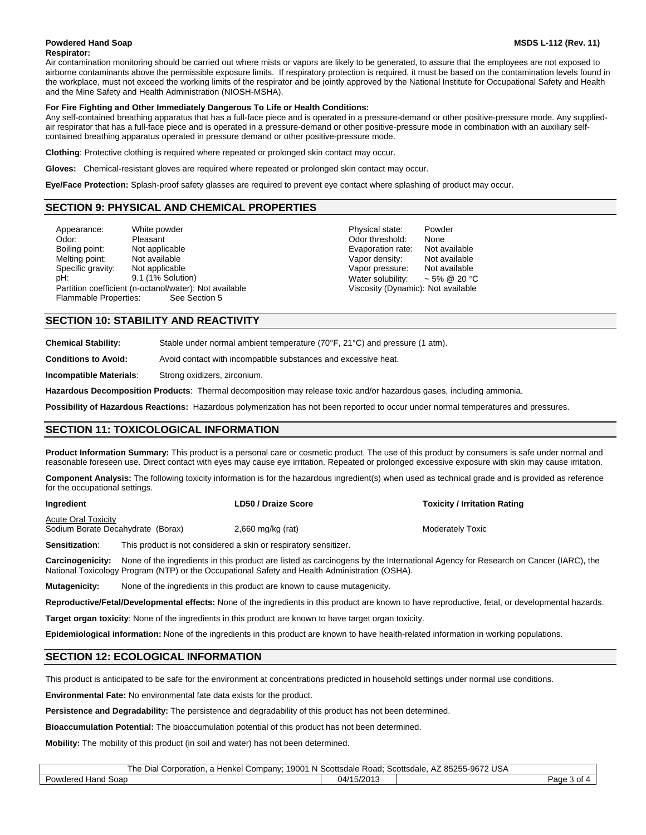#### **Powdered Hand Soap MSDS L-112 (Rev. 11)**

#### **Respirator:**

Air contamination monitoring should be carried out where mists or vapors are likely to be generated, to assure that the employees are not exposed to airborne contaminants above the permissible exposure limits. If respiratory protection is required, it must be based on the contamination levels found in the workplace, must not exceed the working limits of the respirator and be jointly approved by the National Institute for Occupational Safety and Health and the Mine Safety and Health Administration (NIOSH-MSHA).

#### **For Fire Fighting and Other Immediately Dangerous To Life or Health Conditions:**

Any self-contained breathing apparatus that has a full-face piece and is operated in a pressure-demand or other positive-pressure mode. Any suppliedair respirator that has a full-face piece and is operated in a pressure-demand or other positive-pressure mode in combination with an auxiliary selfcontained breathing apparatus operated in pressure demand or other positive-pressure mode.

**Clothing**: Protective clothing is required where repeated or prolonged skin contact may occur.

**Gloves:** Chemical-resistant gloves are required where repeated or prolonged skin contact may occur.

**Eye/Face Protection:** Splash-proof safety glasses are required to prevent eye contact where splashing of product may occur.

## 3B**SECTION 9: PHYSICAL AND CHEMICAL PROPERTIES**

| Appearance:           | White powder                                                            | Physical state:                    | Powder            |
|-----------------------|-------------------------------------------------------------------------|------------------------------------|-------------------|
| Odor:                 | Pleasant                                                                | Odor threshold:                    | None              |
| Boiling point:        | Not applicable                                                          | Evaporation rate:                  | Not available     |
| Melting point:        | Not available                                                           | Vapor density:                     | Not available     |
| Specific gravity:     | Not applicable                                                          | Vapor pressure:                    | Not available     |
| pH:                   | 9.1 (1% Solution)                                                       | Water solubility:                  | $\sim$ 5% @ 20 °C |
| Flammable Properties: | Partition coefficient (n-octanol/water): Not available<br>See Section 5 | Viscosity (Dynamic): Not available |                   |

### **SECTION 10: STABILITY AND REACTIVITY**

**Chemical Stability:** Stable under normal ambient temperature (70°F, 21°C) and pressure (1 atm).

**Conditions to Avoid:** Avoid contact with incompatible substances and excessive heat.

**Incompatible Materials**: Strong oxidizers, zirconium.

**Hazardous Decomposition Products**: Thermal decomposition may release toxic and/or hazardous gases, including ammonia.

**Possibility of Hazardous Reactions:** Hazardous polymerization has not been reported to occur under normal temperatures and pressures.

# **SECTION 11: TOXICOLOGICAL INFORMATION**

**Product Information Summary:** This product is a personal care or cosmetic product. The use of this product by consumers is safe under normal and reasonable foreseen use. Direct contact with eyes may cause eye irritation. Repeated or prolonged excessive exposure with skin may cause irritation.

**Component Analysis:** The following toxicity information is for the hazardous ingredient(s) when used as technical grade and is provided as reference for the occupational settings.

| Ingredient                                                      |  | <b>LD50 / Draize Score</b>                                       | <b>Toxicity / Irritation Rating</b>                                                                                                                                                                                     |
|-----------------------------------------------------------------|--|------------------------------------------------------------------|-------------------------------------------------------------------------------------------------------------------------------------------------------------------------------------------------------------------------|
| <b>Acute Oral Toxicity</b><br>Sodium Borate Decahydrate (Borax) |  | $2,660$ mg/kg (rat)                                              | <b>Moderately Toxic</b>                                                                                                                                                                                                 |
| <b>Sensitization:</b>                                           |  | This product is not considered a skin or respiratory sensitizer. |                                                                                                                                                                                                                         |
|                                                                 |  |                                                                  | . Assoluzaced din Next of the insuralizate in this product and listed as assoluzaced because into the product and an Associated Associated Associated Associated Associated Associated Associated Associated Associated |

**Carcinogenicity:** None of the ingredients in this product are listed as carcinogens by the International Agency for Research on Cancer (IARC), the National Toxicology Program (NTP) or the Occupational Safety and Health Administration (OSHA).

**Mutagenicity:** None of the ingredients in this product are known to cause mutagenicity.

**Reproductive/Fetal/Developmental effects:** None of the ingredients in this product are known to have reproductive, fetal, or developmental hazards.

**Target organ toxicity**: None of the ingredients in this product are known to have target organ toxicity.

**Epidemiological information:** None of the ingredients in this product are known to have health-related information in working populations.

# **SECTION 12: ECOLOGICAL INFORMATION**

Γ

This product is anticipated to be safe for the environment at concentrations predicted in household settings under normal use conditions.

**Environmental Fate:** No environmental fate data exists for the product.

**Persistence and Degradability:** The persistence and degradability of this product has not been determined.

**Bioaccumulation Potential:** The bioaccumulation potential of this product has not been determined.

**Mobility:** The mobility of this product (in soil and water) has not been determined.

|  |  | l Corporation, a Henkel Company: 19001 N Scottsdale Road: Scottsdale, AZ 85255-9672 USA<br>The Dial Co. |  |  |
|--|--|---------------------------------------------------------------------------------------------------------|--|--|
|  |  |                                                                                                         |  |  |

| soan<br>ີ<br>$1 - 2$<br>⊇owaere<br>ாசி ம | 7201.<br>04 | ∟מפי<br>^+<br>. J I<br>auc. |
|------------------------------------------|-------------|-----------------------------|
|                                          |             |                             |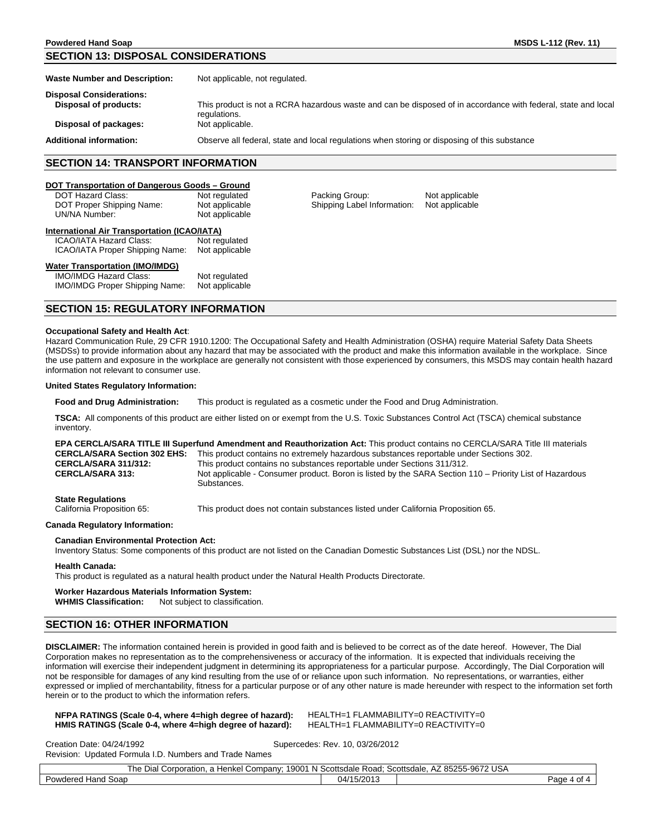# **SECTION 13: DISPOSAL CONSIDERATIONS**

| <b>Waste Number and Description:</b> | Not applicable, not regulated.                                                                                                |
|--------------------------------------|-------------------------------------------------------------------------------------------------------------------------------|
| <b>Disposal Considerations:</b>      |                                                                                                                               |
| Disposal of products:                | This product is not a RCRA hazardous waste and can be disposed of in accordance with federal, state and local<br>regulations. |
| Disposal of packages:                | Not applicable.                                                                                                               |
| <b>Additional information:</b>       | Observe all federal, state and local regulations when storing or disposing of this substance                                  |

# **SECTION 14: TRANSPORT INFORMATION**

### <sup>U</sup>**DOT Transportation of Dangerous Goods – Ground**

| <b>SECTION 15: REGULATORY INFORMATION</b>                                                                        |                                                   |                                               |                                  |
|------------------------------------------------------------------------------------------------------------------|---------------------------------------------------|-----------------------------------------------|----------------------------------|
| <b>Water Transportation (IMO/IMDG)</b><br><b>IMO/IMDG Hazard Class:</b><br><b>IMO/IMDG Proper Shipping Name:</b> | Not regulated<br>Not applicable                   |                                               |                                  |
| ICAO/IATA Hazard Class:<br>ICAO/IATA Proper Shipping Name:                                                       | Not regulated<br>Not applicable                   |                                               |                                  |
| International Air Transportation (ICAO/IATA)                                                                     |                                                   |                                               |                                  |
| DOT Hazard Class:<br>DOT Proper Shipping Name:<br>UN/NA Number:                                                  | Not regulated<br>Not applicable<br>Not applicable | Packing Group:<br>Shipping Label Information: | Not applicable<br>Not applicable |
| <b>POT TRIPPORTUNION OF DUING OUGLOUS</b> OPONING                                                                |                                                   |                                               |                                  |

#### **Occupational Safety and Health Act**:

Hazard Communication Rule, 29 CFR 1910.1200: The Occupational Safety and Health Administration (OSHA) require Material Safety Data Sheets (MSDSs) to provide information about any hazard that may be associated with the product and make this information available in the workplace. Since the use pattern and exposure in the workplace are generally not consistent with those experienced by consumers, this MSDS may contain health hazard information not relevant to consumer use.

#### **United States Regulatory Information:**

**Food and Drug Administration:** This product is regulated as a cosmetic under the Food and Drug Administration.

**TSCA:** All components of this product are either listed on or exempt from the U.S. Toxic Substances Control Act (TSCA) chemical substance inventory.

|                                     | <b>EPA CERCLA/SARA TITLE III Superfund Amendment and Reauthorization Act:</b> This product contains no CERCLA/SARA Title III materials |
|-------------------------------------|----------------------------------------------------------------------------------------------------------------------------------------|
| <b>CERCLA/SARA Section 302 EHS:</b> | This product contains no extremely hazardous substances reportable under Sections 302.                                                 |
| <b>CERCLA/SARA 311/312:</b>         | This product contains no substances reportable under Sections 311/312.                                                                 |
| <b>CERCLA/SARA 313:</b>             | Not applicable - Consumer product. Boron is listed by the SARA Section 110 – Priority List of Hazardous<br>Substances.                 |
|                                     |                                                                                                                                        |

**State Regulations**<br>California Proposition 65:

This product does not contain substances listed under California Proposition 65.

#### **Canada Regulatory Information:**

#### **Canadian Environmental Protection Act:**

Inventory Status: Some components of this product are not listed on the Canadian Domestic Substances List (DSL) nor the NDSL.

#### **Health Canada:**

This product is regulated as a natural health product under the Natural Health Products Directorate.

# **Worker Hazardous Materials Information System:**

Not subject to classification.

# **SECTION 16: OTHER INFORMATION**

**DISCLAIMER:** The information contained herein is provided in good faith and is believed to be correct as of the date hereof. However, The Dial Corporation makes no representation as to the comprehensiveness or accuracy of the information. It is expected that individuals receiving the information will exercise their independent judgment in determining its appropriateness for a particular purpose. Accordingly, The Dial Corporation will not be responsible for damages of any kind resulting from the use of or reliance upon such information. No representations, or warranties, either expressed or implied of merchantability, fitness for a particular purpose or of any other nature is made hereunder with respect to the information set forth herein or to the product to which the information refers.

#### **NFPA RATINGS (Scale 0-4, where 4=high degree of hazard):** HEALTH=1 FLAMMABILITY=0 REACTIVITY=0<br>**HMIS RATINGS (Scale 0-4, where 4=high degree of hazard):** HEALTH=1 FLAMMABILITY=0 REACTIVITY=0 **HMIS RATINGS (Scale 0-4, where 4=high degree of hazard):**

Creation Date: 04/24/1992 Supercedes: Rev. 10, 03/26/2012

Revision: Updated Formula I.D. Numbers and Trade Names

| The<br>Company; <sup>1</sup><br>Henkel<br>Dial<br>Corporation, a h | 19001 N Scottsdale Road: | 785255-9672 USA<br>$\cdot$ $\rightarrow$<br>Scottsdale.<br>AZ. |                      |
|--------------------------------------------------------------------|--------------------------|----------------------------------------------------------------|----------------------|
| Powdered Hand Soap                                                 | 04/15/2013               |                                                                | Page<br>$\sim$<br>υı |